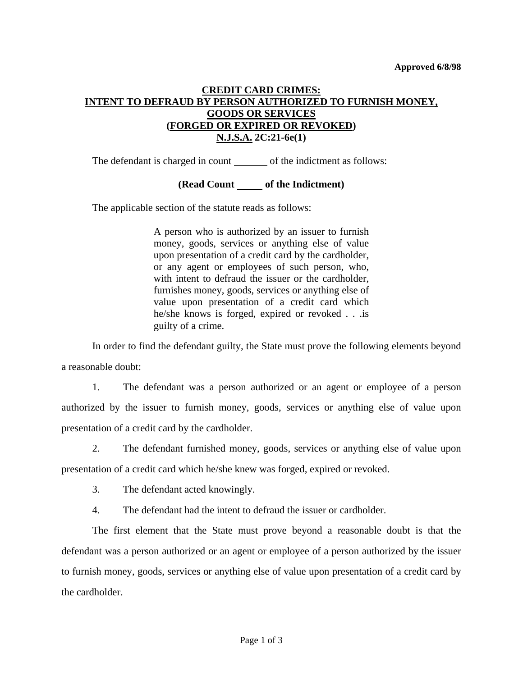## **CREDIT CARD CRIMES: INTENT TO DEFRAUD BY PERSON AUTHORIZED TO FURNISH MONEY, GOODS OR SERVICES (FORGED OR EXPIRED OR REVOKED) N.J.S.A. 2C:21-6e(1)**

The defendant is charged in count of the indictment as follows:

**(Read Count of the Indictment)** 

The applicable section of the statute reads as follows:

A person who is authorized by an issuer to furnish money, goods, services or anything else of value upon presentation of a credit card by the cardholder, or any agent or employees of such person, who, with intent to defraud the issuer or the cardholder, furnishes money, goods, services or anything else of value upon presentation of a credit card which he/she knows is forged, expired or revoked . . .is guilty of a crime.

 In order to find the defendant guilty, the State must prove the following elements beyond a reasonable doubt:

 1. The defendant was a person authorized or an agent or employee of a person authorized by the issuer to furnish money, goods, services or anything else of value upon presentation of a credit card by the cardholder.

 2. The defendant furnished money, goods, services or anything else of value upon presentation of a credit card which he/she knew was forged, expired or revoked.

3. The defendant acted knowingly.

4. The defendant had the intent to defraud the issuer or cardholder.

 The first element that the State must prove beyond a reasonable doubt is that the defendant was a person authorized or an agent or employee of a person authorized by the issuer to furnish money, goods, services or anything else of value upon presentation of a credit card by the cardholder.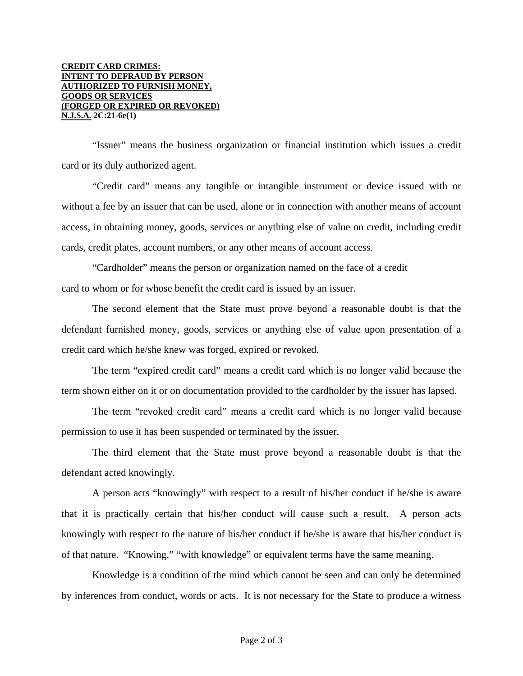## **CREDIT CARD CRIMES: INTENT TO DEFRAUD BY PERSON AUTHORIZED TO FURNISH MONEY, GOODS OR SERVICES (FORGED OR EXPIRED OR REVOKED) N.J.S.A. 2C:21-6e(1)**

 "Issuer" means the business organization or financial institution which issues a credit card or its duly authorized agent.

 "Credit card" means any tangible or intangible instrument or device issued with or without a fee by an issuer that can be used, alone or in connection with another means of account access, in obtaining money, goods, services or anything else of value on credit, including credit cards, credit plates, account numbers, or any other means of account access.

 "Cardholder" means the person or organization named on the face of a credit card to whom or for whose benefit the credit card is issued by an issuer.

 The second element that the State must prove beyond a reasonable doubt is that the defendant furnished money, goods, services or anything else of value upon presentation of a credit card which he/she knew was forged, expired or revoked.

 The term "expired credit card" means a credit card which is no longer valid because the term shown either on it or on documentation provided to the cardholder by the issuer has lapsed.

 The term "revoked credit card" means a credit card which is no longer valid because permission to use it has been suspended or terminated by the issuer.

 The third element that the State must prove beyond a reasonable doubt is that the defendant acted knowingly.

 A person acts "knowingly" with respect to a result of his/her conduct if he/she is aware that it is practically certain that his/her conduct will cause such a result. A person acts knowingly with respect to the nature of his/her conduct if he/she is aware that his/her conduct is of that nature. "Knowing," "with knowledge" or equivalent terms have the same meaning.

 Knowledge is a condition of the mind which cannot be seen and can only be determined by inferences from conduct, words or acts. It is not necessary for the State to produce a witness